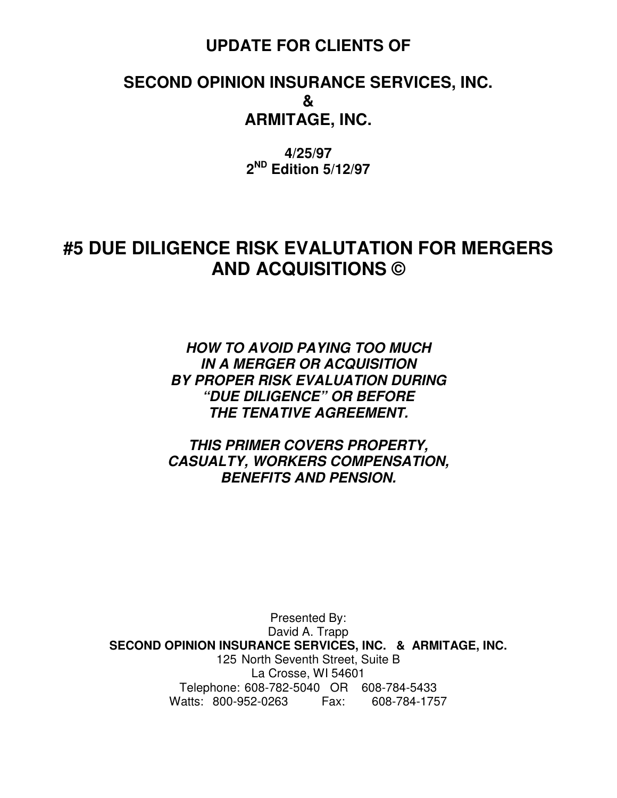### **UPDATE FOR CLIENTS OF**

### **SECOND OPINION INSURANCE SERVICES, INC. & ARMITAGE, INC.**

**4/25/97 2 ND Edition 5/12/97** 

### **#5 DUE DILIGENCE RISK EVALUTATION FOR MERGERS AND ACQUISITIONS ©**

**HOW TO AVOID PAYING TOO MUCH IN A MERGER OR ACQUISITION BY PROPER RISK EVALUATION DURING "DUE DILIGENCE" OR BEFORE THE TENATIVE AGREEMENT.** 

**THIS PRIMER COVERS PROPERTY, CASUALTY, WORKERS COMPENSATION, BENEFITS AND PENSION.** 

Presented By: David A. Trapp **SECOND OPINION INSURANCE SERVICES, INC. & ARMITAGE, INC.**  125 North Seventh Street, Suite B La Crosse, WI 54601 Telephone: 608-782-5040 OR 608-784-5433 Watts: 800-952-0263 Fax: 608-784-1757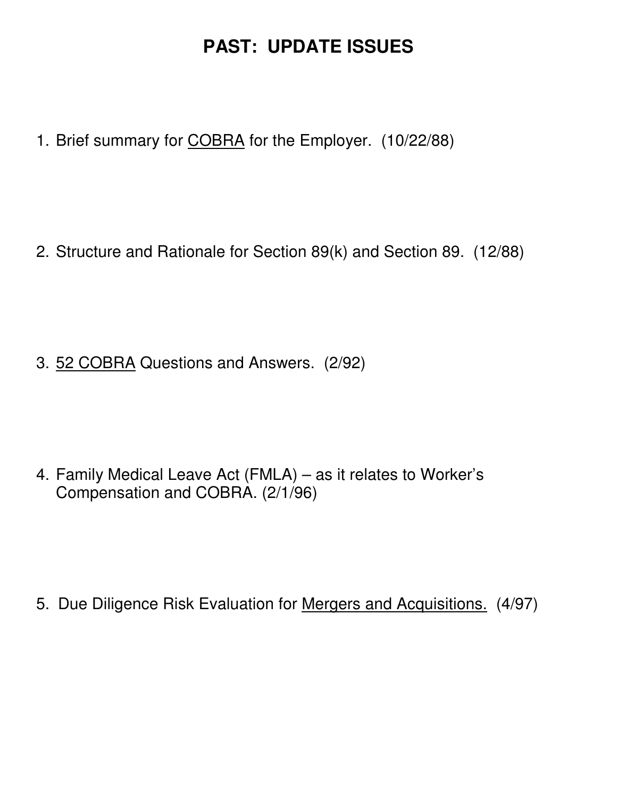# **PAST: UPDATE ISSUES**

1. Brief summary for COBRA for the Employer. (10/22/88)

2. Structure and Rationale for Section 89(k) and Section 89. (12/88)

3. 52 COBRA Questions and Answers. (2/92)

4. Family Medical Leave Act (FMLA) – as it relates to Worker's Compensation and COBRA. (2/1/96)

5. Due Diligence Risk Evaluation for Mergers and Acquisitions. (4/97)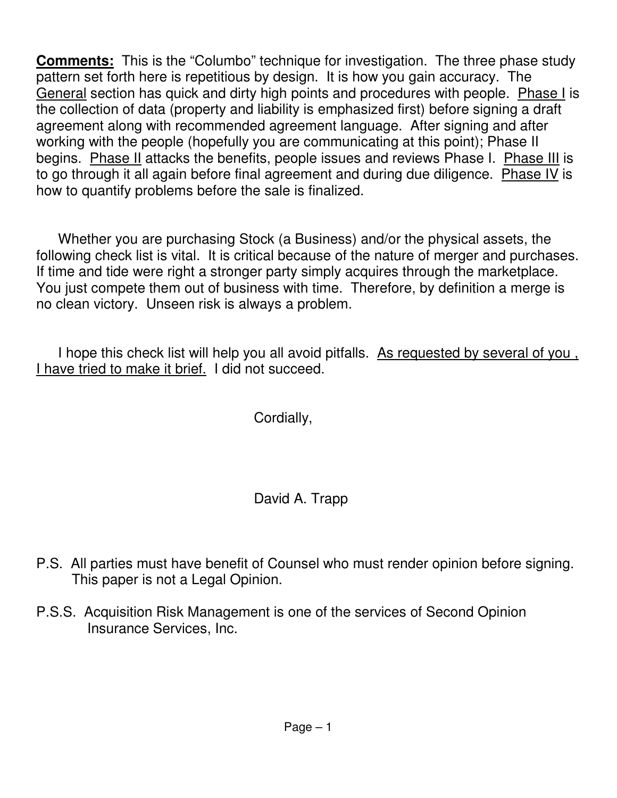**Comments:** This is the "Columbo" technique for investigation. The three phase study pattern set forth here is repetitious by design. It is how you gain accuracy. The General section has quick and dirty high points and procedures with people. Phase I is the collection of data (property and liability is emphasized first) before signing a draft agreement along with recommended agreement language. After signing and after working with the people (hopefully you are communicating at this point); Phase II begins. Phase II attacks the benefits, people issues and reviews Phase I. Phase III is to go through it all again before final agreement and during due diligence. Phase IV is how to quantify problems before the sale is finalized.

 Whether you are purchasing Stock (a Business) and/or the physical assets, the following check list is vital. It is critical because of the nature of merger and purchases. If time and tide were right a stronger party simply acquires through the marketplace. You just compete them out of business with time. Therefore, by definition a merge is no clean victory. Unseen risk is always a problem.

 I hope this check list will help you all avoid pitfalls. As requested by several of you , I have tried to make it brief. I did not succeed.

Cordially,

David A. Trapp

- P.S. All parties must have benefit of Counsel who must render opinion before signing. This paper is not a Legal Opinion.
- P.S.S. Acquisition Risk Management is one of the services of Second Opinion Insurance Services, Inc.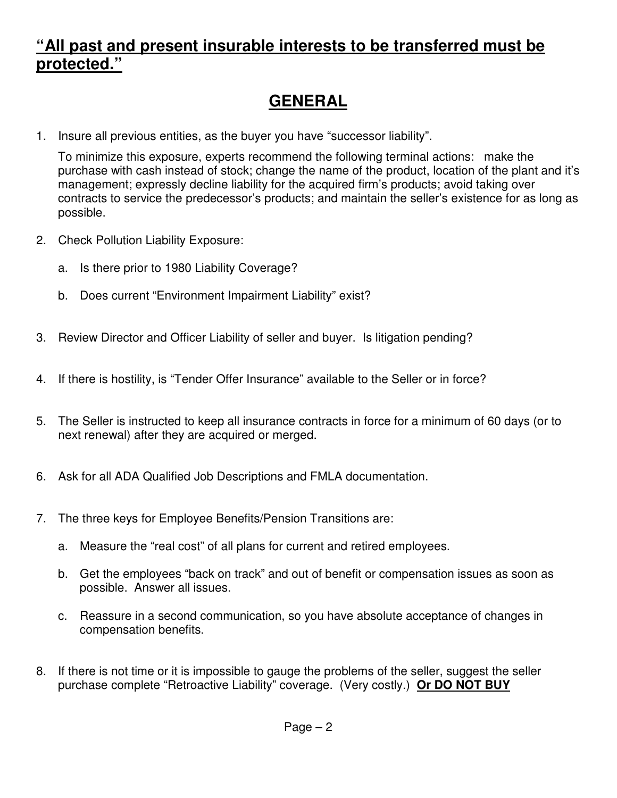### **"All past and present insurable interests to be transferred must be protected."**

# **GENERAL**

1. Insure all previous entities, as the buyer you have "successor liability".

To minimize this exposure, experts recommend the following terminal actions: make the purchase with cash instead of stock; change the name of the product, location of the plant and it's management; expressly decline liability for the acquired firm's products; avoid taking over contracts to service the predecessor's products; and maintain the seller's existence for as long as possible.

- 2. Check Pollution Liability Exposure:
	- a. Is there prior to 1980 Liability Coverage?
	- b. Does current "Environment Impairment Liability" exist?
- 3. Review Director and Officer Liability of seller and buyer. Is litigation pending?
- 4. If there is hostility, is "Tender Offer Insurance" available to the Seller or in force?
- 5. The Seller is instructed to keep all insurance contracts in force for a minimum of 60 days (or to next renewal) after they are acquired or merged.
- 6. Ask for all ADA Qualified Job Descriptions and FMLA documentation.
- 7. The three keys for Employee Benefits/Pension Transitions are:
	- a. Measure the "real cost" of all plans for current and retired employees.
	- b. Get the employees "back on track" and out of benefit or compensation issues as soon as possible. Answer all issues.
	- c. Reassure in a second communication, so you have absolute acceptance of changes in compensation benefits.
- 8. If there is not time or it is impossible to gauge the problems of the seller, suggest the seller purchase complete "Retroactive Liability" coverage. (Very costly.) **Or DO NOT BUY**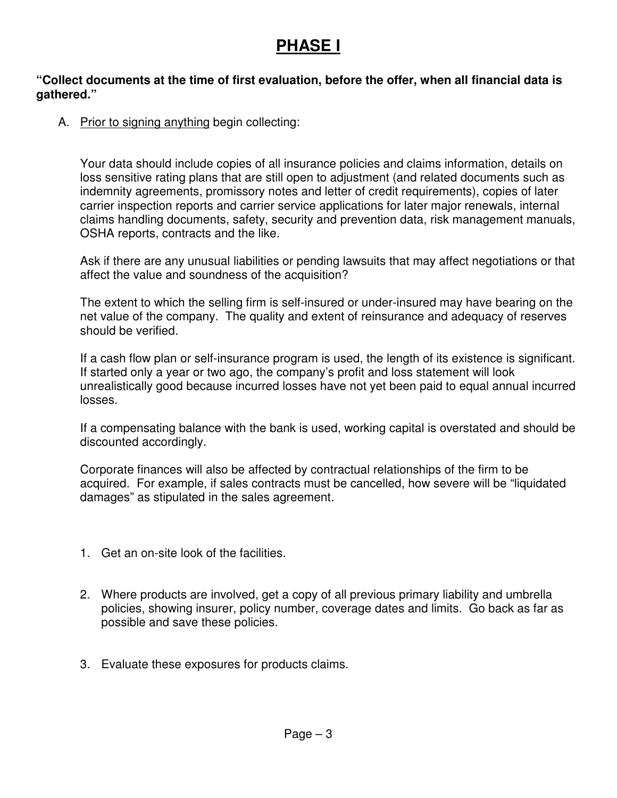### **PHASE I**

#### **"Collect documents at the time of first evaluation, before the offer, when all financial data is gathered."**

A. Prior to signing anything begin collecting:

Your data should include copies of all insurance policies and claims information, details on loss sensitive rating plans that are still open to adjustment (and related documents such as indemnity agreements, promissory notes and letter of credit requirements), copies of later carrier inspection reports and carrier service applications for later major renewals, internal claims handling documents, safety, security and prevention data, risk management manuals, OSHA reports, contracts and the like.

Ask if there are any unusual liabilities or pending lawsuits that may affect negotiations or that affect the value and soundness of the acquisition?

The extent to which the selling firm is self-insured or under-insured may have bearing on the net value of the company. The quality and extent of reinsurance and adequacy of reserves should be verified.

If a cash flow plan or self-insurance program is used, the length of its existence is significant. If started only a year or two ago, the company's profit and loss statement will look unrealistically good because incurred losses have not yet been paid to equal annual incurred losses.

If a compensating balance with the bank is used, working capital is overstated and should be discounted accordingly.

Corporate finances will also be affected by contractual relationships of the firm to be acquired. For example, if sales contracts must be cancelled, how severe will be "liquidated damages" as stipulated in the sales agreement.

- 1. Get an on-site look of the facilities.
- 2. Where products are involved, get a copy of all previous primary liability and umbrella policies, showing insurer, policy number, coverage dates and limits. Go back as far as possible and save these policies.
- 3. Evaluate these exposures for products claims.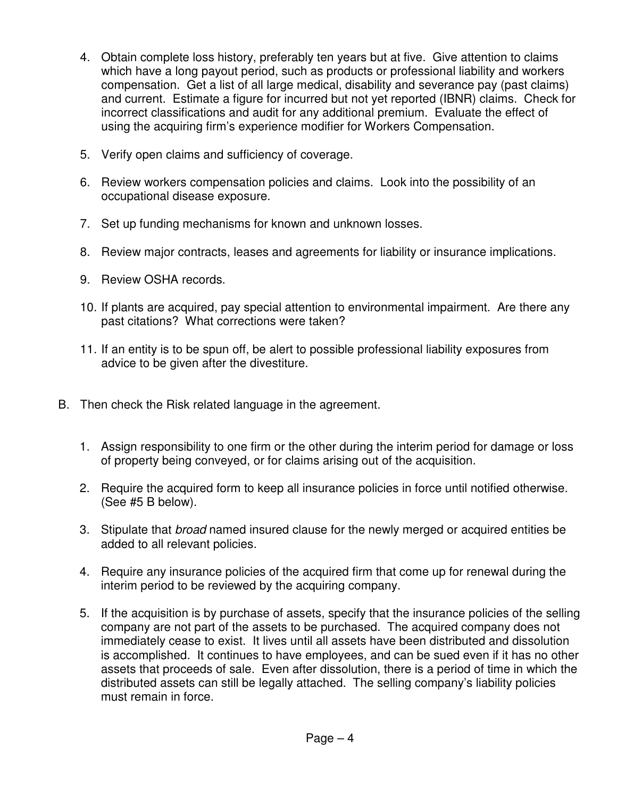- 4. Obtain complete loss history, preferably ten years but at five. Give attention to claims which have a long payout period, such as products or professional liability and workers compensation. Get a list of all large medical, disability and severance pay (past claims) and current. Estimate a figure for incurred but not yet reported (IBNR) claims. Check for incorrect classifications and audit for any additional premium. Evaluate the effect of using the acquiring firm's experience modifier for Workers Compensation.
- 5. Verify open claims and sufficiency of coverage.
- 6. Review workers compensation policies and claims. Look into the possibility of an occupational disease exposure.
- 7. Set up funding mechanisms for known and unknown losses.
- 8. Review major contracts, leases and agreements for liability or insurance implications.
- 9. Review OSHA records.
- 10. If plants are acquired, pay special attention to environmental impairment. Are there any past citations? What corrections were taken?
- 11. If an entity is to be spun off, be alert to possible professional liability exposures from advice to be given after the divestiture.
- B. Then check the Risk related language in the agreement.
	- 1. Assign responsibility to one firm or the other during the interim period for damage or loss of property being conveyed, or for claims arising out of the acquisition.
	- 2. Require the acquired form to keep all insurance policies in force until notified otherwise. (See #5 B below).
	- 3. Stipulate that *broad* named insured clause for the newly merged or acquired entities be added to all relevant policies.
	- 4. Require any insurance policies of the acquired firm that come up for renewal during the interim period to be reviewed by the acquiring company.
	- 5. If the acquisition is by purchase of assets, specify that the insurance policies of the selling company are not part of the assets to be purchased. The acquired company does not immediately cease to exist. It lives until all assets have been distributed and dissolution is accomplished. It continues to have employees, and can be sued even if it has no other assets that proceeds of sale. Even after dissolution, there is a period of time in which the distributed assets can still be legally attached. The selling company's liability policies must remain in force.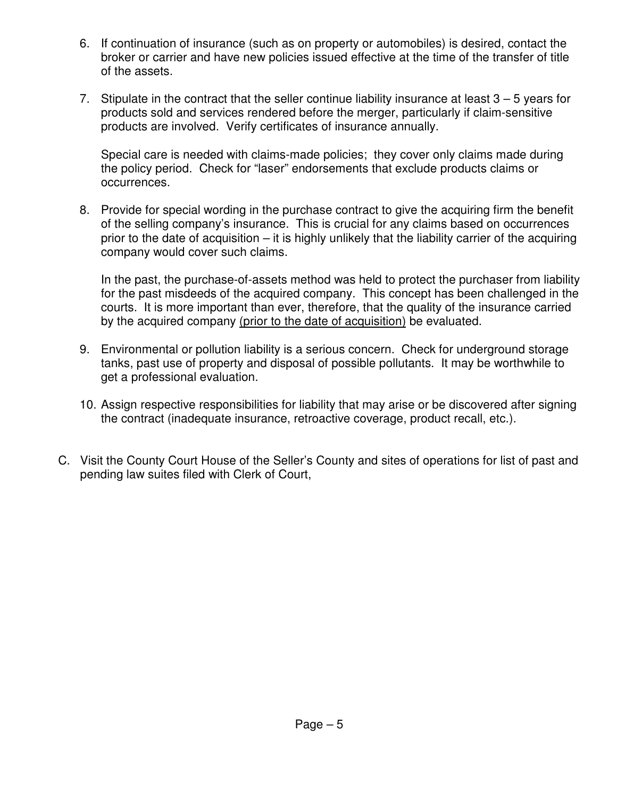- 6. If continuation of insurance (such as on property or automobiles) is desired, contact the broker or carrier and have new policies issued effective at the time of the transfer of title of the assets.
- 7. Stipulate in the contract that the seller continue liability insurance at least 3 5 years for products sold and services rendered before the merger, particularly if claim-sensitive products are involved. Verify certificates of insurance annually.

Special care is needed with claims-made policies; they cover only claims made during the policy period. Check for "laser" endorsements that exclude products claims or occurrences.

8. Provide for special wording in the purchase contract to give the acquiring firm the benefit of the selling company's insurance. This is crucial for any claims based on occurrences prior to the date of acquisition – it is highly unlikely that the liability carrier of the acquiring company would cover such claims.

In the past, the purchase-of-assets method was held to protect the purchaser from liability for the past misdeeds of the acquired company. This concept has been challenged in the courts. It is more important than ever, therefore, that the quality of the insurance carried by the acquired company (prior to the date of acquisition) be evaluated.

- 9. Environmental or pollution liability is a serious concern. Check for underground storage tanks, past use of property and disposal of possible pollutants. It may be worthwhile to get a professional evaluation.
- 10. Assign respective responsibilities for liability that may arise or be discovered after signing the contract (inadequate insurance, retroactive coverage, product recall, etc.).
- C. Visit the County Court House of the Seller's County and sites of operations for list of past and pending law suites filed with Clerk of Court,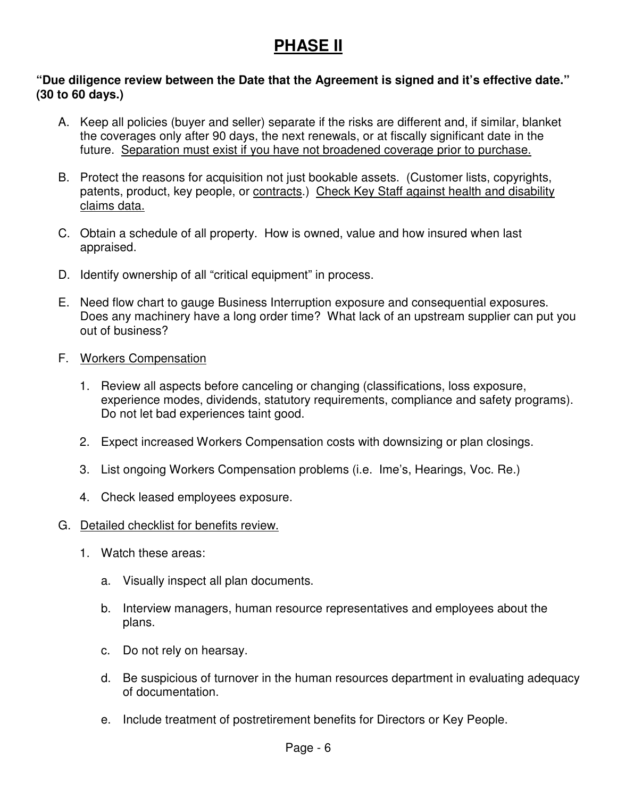### **PHASE II**

#### **"Due diligence review between the Date that the Agreement is signed and it's effective date." (30 to 60 days.)**

- A. Keep all policies (buyer and seller) separate if the risks are different and, if similar, blanket the coverages only after 90 days, the next renewals, or at fiscally significant date in the future. Separation must exist if you have not broadened coverage prior to purchase.
- B. Protect the reasons for acquisition not just bookable assets. (Customer lists, copyrights, patents, product, key people, or contracts.) Check Key Staff against health and disability claims data.
- C. Obtain a schedule of all property. How is owned, value and how insured when last appraised.
- D. Identify ownership of all "critical equipment" in process.
- E. Need flow chart to gauge Business Interruption exposure and consequential exposures. Does any machinery have a long order time? What lack of an upstream supplier can put you out of business?
- F. Workers Compensation
	- 1. Review all aspects before canceling or changing (classifications, loss exposure, experience modes, dividends, statutory requirements, compliance and safety programs). Do not let bad experiences taint good.
	- 2. Expect increased Workers Compensation costs with downsizing or plan closings.
	- 3. List ongoing Workers Compensation problems (i.e. Ime's, Hearings, Voc. Re.)
	- 4. Check leased employees exposure.

#### G. Detailed checklist for benefits review.

- 1. Watch these areas:
	- a. Visually inspect all plan documents.
	- b. Interview managers, human resource representatives and employees about the plans.
	- c. Do not rely on hearsay.
	- d. Be suspicious of turnover in the human resources department in evaluating adequacy of documentation.
	- e. Include treatment of postretirement benefits for Directors or Key People.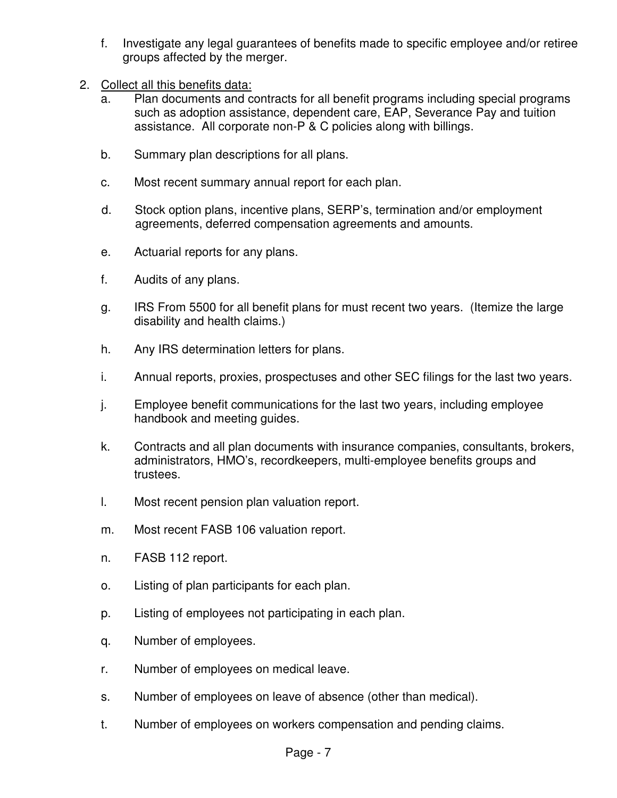- f. Investigate any legal guarantees of benefits made to specific employee and/or retiree groups affected by the merger.
- 2. Collect all this benefits data:
	- a. Plan documents and contracts for all benefit programs including special programs such as adoption assistance, dependent care, EAP, Severance Pay and tuition assistance. All corporate non-P & C policies along with billings.
	- b. Summary plan descriptions for all plans.
	- c. Most recent summary annual report for each plan.
	- d. Stock option plans, incentive plans, SERP's, termination and/or employment agreements, deferred compensation agreements and amounts.
	- e. Actuarial reports for any plans.
	- f. Audits of any plans.
	- g. IRS From 5500 for all benefit plans for must recent two years. (Itemize the large disability and health claims.)
	- h. Any IRS determination letters for plans.
	- i. Annual reports, proxies, prospectuses and other SEC filings for the last two years.
	- j. Employee benefit communications for the last two years, including employee handbook and meeting guides.
	- k. Contracts and all plan documents with insurance companies, consultants, brokers, administrators, HMO's, recordkeepers, multi-employee benefits groups and trustees.
	- l. Most recent pension plan valuation report.
	- m. Most recent FASB 106 valuation report.
	- n. FASB 112 report.
	- o. Listing of plan participants for each plan.
	- p. Listing of employees not participating in each plan.
	- q. Number of employees.
	- r. Number of employees on medical leave.
	- s. Number of employees on leave of absence (other than medical).
	- t. Number of employees on workers compensation and pending claims.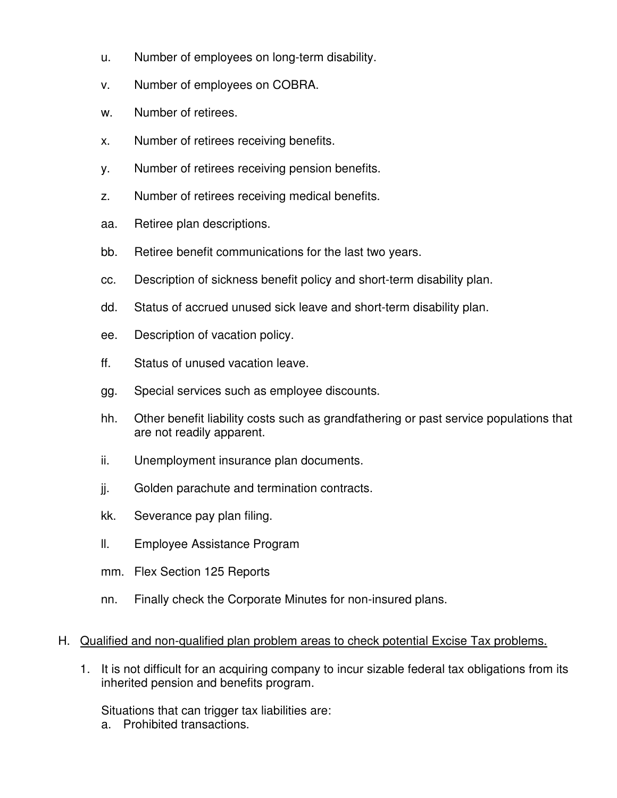- u. Number of employees on long-term disability.
- v. Number of employees on COBRA.
- w. Number of retirees.
- x. Number of retirees receiving benefits.
- y. Number of retirees receiving pension benefits.
- z. Number of retirees receiving medical benefits.
- aa. Retiree plan descriptions.
- bb. Retiree benefit communications for the last two years.
- cc. Description of sickness benefit policy and short-term disability plan.
- dd. Status of accrued unused sick leave and short-term disability plan.
- ee. Description of vacation policy.
- ff. Status of unused vacation leave.
- gg. Special services such as employee discounts.
- hh. Other benefit liability costs such as grandfathering or past service populations that are not readily apparent.
- ii. Unemployment insurance plan documents.
- jj. Golden parachute and termination contracts.
- kk. Severance pay plan filing.
- ll. Employee Assistance Program
- mm. Flex Section 125 Reports
- nn. Finally check the Corporate Minutes for non-insured plans.

#### H. Qualified and non-qualified plan problem areas to check potential Excise Tax problems.

1. It is not difficult for an acquiring company to incur sizable federal tax obligations from its inherited pension and benefits program.

Situations that can trigger tax liabilities are:

a. Prohibited transactions.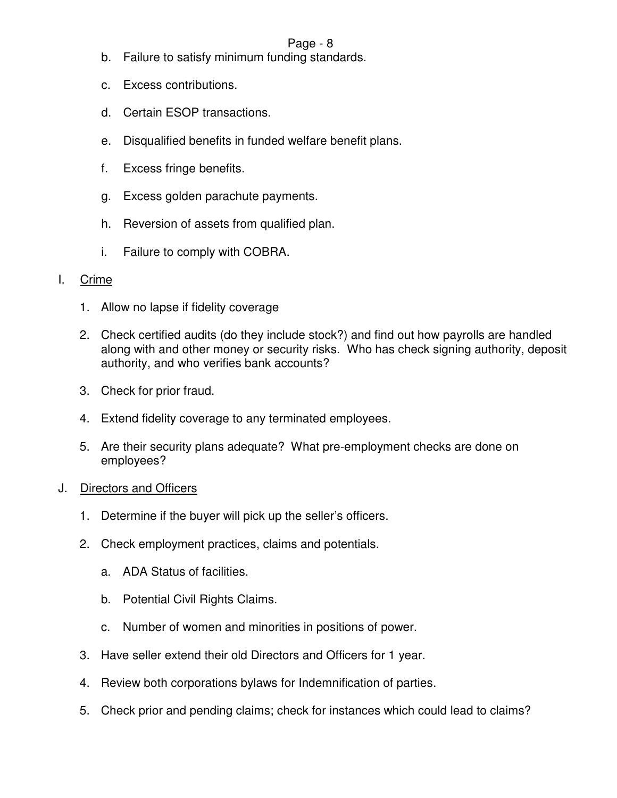#### Page - 8

- b. Failure to satisfy minimum funding standards.
- c. Excess contributions.
- d. Certain ESOP transactions.
- e. Disqualified benefits in funded welfare benefit plans.
- f. Excess fringe benefits.
- g. Excess golden parachute payments.
- h. Reversion of assets from qualified plan.
- i. Failure to comply with COBRA.

#### I. Crime

- 1. Allow no lapse if fidelity coverage
- 2. Check certified audits (do they include stock?) and find out how payrolls are handled along with and other money or security risks. Who has check signing authority, deposit authority, and who verifies bank accounts?
- 3. Check for prior fraud.
- 4. Extend fidelity coverage to any terminated employees.
- 5. Are their security plans adequate? What pre-employment checks are done on employees?
- J. Directors and Officers
	- 1. Determine if the buyer will pick up the seller's officers.
	- 2. Check employment practices, claims and potentials.
		- a. ADA Status of facilities.
		- b. Potential Civil Rights Claims.
		- c. Number of women and minorities in positions of power.
	- 3. Have seller extend their old Directors and Officers for 1 year.
	- 4. Review both corporations bylaws for Indemnification of parties.
	- 5. Check prior and pending claims; check for instances which could lead to claims?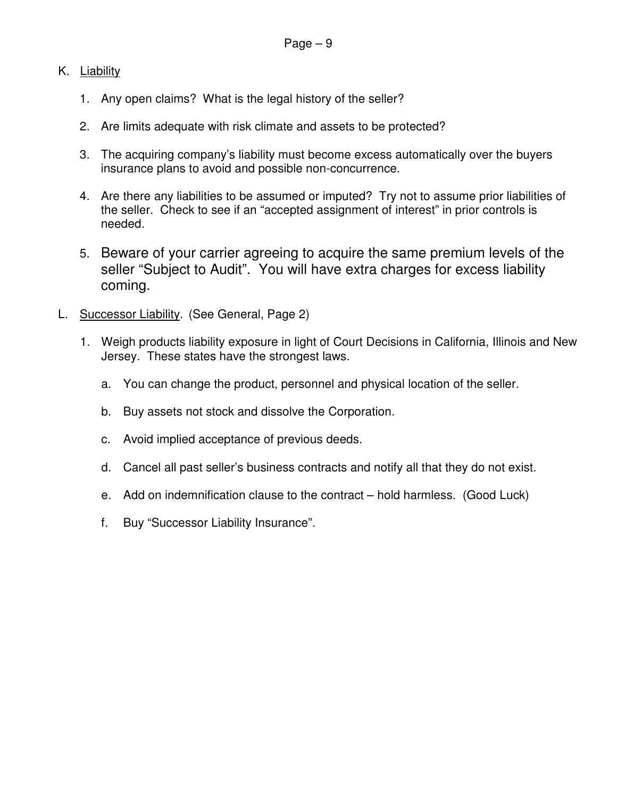#### K. Liability

- 1. Any open claims? What is the legal history of the seller?
- 2. Are limits adequate with risk climate and assets to be protected?
- 3. The acquiring company's liability must become excess automatically over the buyers insurance plans to avoid and possible non-concurrence.
- 4. Are there any liabilities to be assumed or imputed? Try not to assume prior liabilities of the seller. Check to see if an "accepted assignment of interest" in prior controls is needed.
- 5. Beware of your carrier agreeing to acquire the same premium levels of the seller "Subject to Audit". You will have extra charges for excess liability coming.
- L. Successor Liability. (See General, Page 2)
	- 1. Weigh products liability exposure in light of Court Decisions in California, Illinois and New Jersey. These states have the strongest laws.
		- a. You can change the product, personnel and physical location of the seller.
		- b. Buy assets not stock and dissolve the Corporation.
		- c. Avoid implied acceptance of previous deeds.
		- d. Cancel all past seller's business contracts and notify all that they do not exist.
		- e. Add on indemnification clause to the contract hold harmless. (Good Luck)
		- f. Buy "Successor Liability Insurance".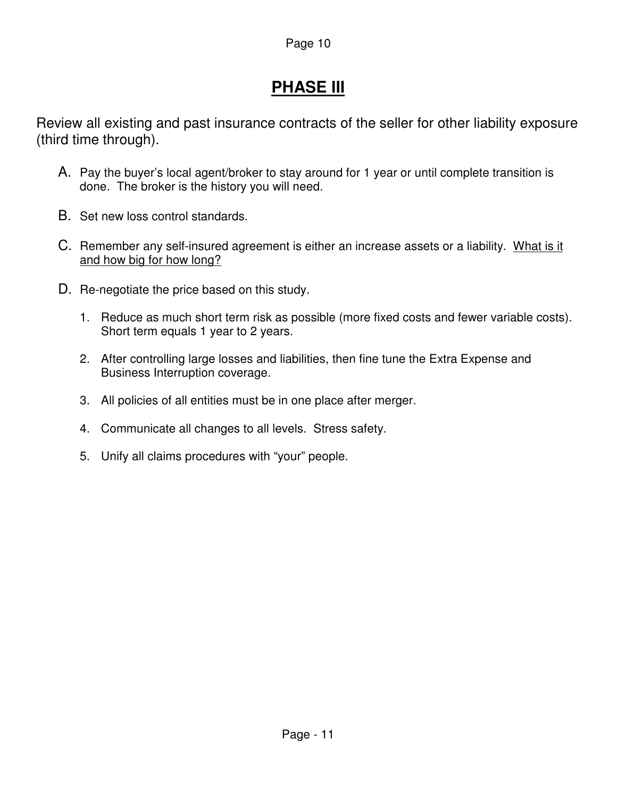# **PHASE III**

Review all existing and past insurance contracts of the seller for other liability exposure (third time through).

- A. Pay the buyer's local agent/broker to stay around for 1 year or until complete transition is done. The broker is the history you will need.
- B. Set new loss control standards.
- C. Remember any self-insured agreement is either an increase assets or a liability. What is it and how big for how long?
- D. Re-negotiate the price based on this study.
	- 1. Reduce as much short term risk as possible (more fixed costs and fewer variable costs). Short term equals 1 year to 2 years.
	- 2. After controlling large losses and liabilities, then fine tune the Extra Expense and Business Interruption coverage.
	- 3. All policies of all entities must be in one place after merger.
	- 4. Communicate all changes to all levels. Stress safety.
	- 5. Unify all claims procedures with "your" people.